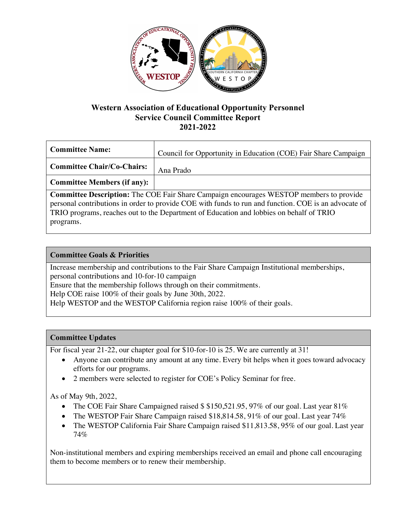

## **Western Association of Educational Opportunity Personnel Service Council Committee Report 2021-2022**

| Committee Name:                   | Council for Opportunity in Education (COE) Fair Share Campaign |
|-----------------------------------|----------------------------------------------------------------|
| <b>Committee Chair/Co-Chairs:</b> | Ana Prado                                                      |
| Committee Members (if any):       |                                                                |

**Committee Description:** The COE Fair Share Campaign encourages WESTOP members to provide personal contributions in order to provide COE with funds to run and function. COE is an advocate of TRIO programs, reaches out to the Department of Education and lobbies on behalf of TRIO programs.

## **Committee Goals & Priorities**

Increase membership and contributions to the Fair Share Campaign Institutional memberships, personal contributions and 10-for-10 campaign

Ensure that the membership follows through on their commitments.

Help COE raise 100% of their goals by June 30th, 2022.

Help WESTOP and the WESTOP California region raise 100% of their goals.

## **Committee Updates**

For fiscal year 21-22, our chapter goal for \$10-for-10 is 25. We are currently at 31!

- Anyone can contribute any amount at any time. Every bit helps when it goes toward advocacy efforts for our programs.
- 2 members were selected to register for COE's Policy Seminar for free.

As of May 9th, 2022,

- The COE Fair Share Campaigned raised \$ \$150,521.95, 97% of our goal. Last year 81%
- The WESTOP Fair Share Campaign raised \$18,814.58, 91% of our goal. Last year 74%
- The WESTOP California Fair Share Campaign raised \$11,813.58, 95% of our goal. Last year 74%

Non-institutional members and expiring memberships received an email and phone call encouraging them to become members or to renew their membership.